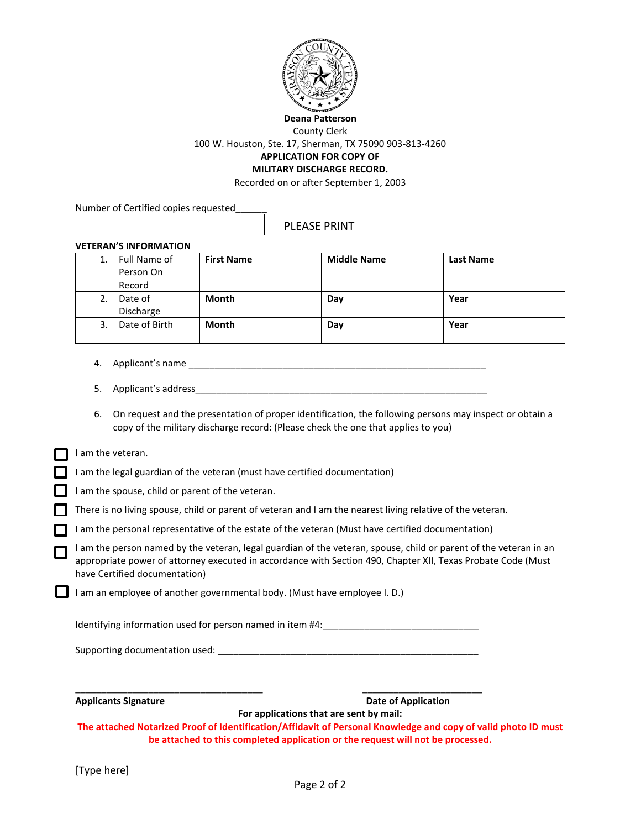

**Deana Patterson**

County Clerk

100 W. Houston, Ste. 17, Sherman, TX 75090 903-813-4260

## **APPLICATION FOR COPY OF MILITARY DISCHARGE RECORD.**

Recorded on or after September 1, 2003

Number of Certified copies requested\_\_\_\_\_\_

PLEASE PRINT

## **VETERAN'S INFORMATION**

|    | Full Name of<br>Person On<br>Record | <b>First Name</b> | <b>Middle Name</b> | <b>Last Name</b> |
|----|-------------------------------------|-------------------|--------------------|------------------|
| 2. | Date of<br>Discharge                | <b>Month</b>      | Day                | Year             |
|    |                                     |                   |                    |                  |
| 3. | Date of Birth                       | <b>Month</b>      | Day                | Year             |

- 4. Applicant's name \_\_\_\_\_\_\_\_\_\_\_\_\_\_\_\_\_\_\_\_\_\_\_\_\_\_\_\_\_\_\_\_\_\_\_\_\_\_\_\_\_\_\_\_\_\_\_\_\_\_\_\_\_\_\_\_\_
- 5. Applicant's address
- 6. On request and the presentation of proper identification, the following persons may inspect or obtain a copy of the military discharge record: (Please check the one that applies to you)

## $\Box$  I am the veteran.

I am the legal guardian of the veteran (must have certified documentation)

I am the spouse, child or parent of the veteran.

There is no living spouse, child or parent of veteran and I am the nearest living relative of the veteran.

I am the personal representative of the estate of the veteran (Must have certified documentation)

I am the person named by the veteran, legal guardian of the veteran, spouse, child or parent of the veteran in an appropriate power of attorney executed in accordance with Section 490, Chapter XII, Texas Probate Code (Must have Certified documentation)

I am an employee of another governmental body. (Must have employee I. D.)

Identifying information used for person named in item #4:

 $\overline{\phantom{a}}$  , and the contribution of the contribution of the contribution of the contribution of the contribution of the contribution of the contribution of the contribution of the contribution of the contribution of the

Supporting documentation used:  $\Box$ 

**Applicants Signature Community Community Community Community Community Community Community Community Community Community Community Community Community Community Community Community Community Community Community Community** 

**For applications that are sent by mail: The attached Notarized Proof of Identification/Affidavit of Personal Knowledge and copy of valid photo ID must be attached to this completed application or the request will not be processed.**